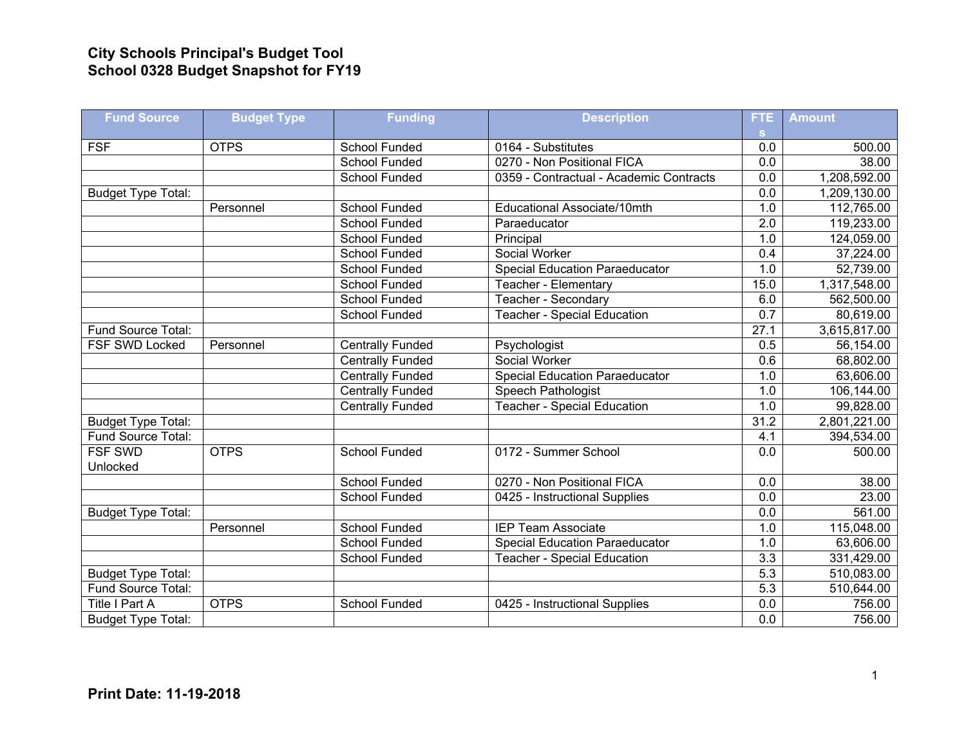## **City Schools Principal's Budget Tool School 0328 Budget Snapshot for FY19**

| <b>Fund Source</b>        | <b>Budget Type</b> | <b>Funding</b>          | <b>Description</b>                      | <b>FTE</b>        | <b>Amount</b> |
|---------------------------|--------------------|-------------------------|-----------------------------------------|-------------------|---------------|
|                           |                    |                         |                                         | <b>S</b>          |               |
| <b>FSF</b>                | <b>OTPS</b>        | <b>School Funded</b>    | 0164 - Substitutes                      | 0.0               | 500.00        |
|                           |                    | <b>School Funded</b>    | 0270 - Non Positional FICA              | 0.0               | 38.00         |
|                           |                    | School Funded           | 0359 - Contractual - Academic Contracts | 0.0               | 1,208,592.00  |
| <b>Budget Type Total:</b> |                    |                         |                                         | 0.0               | 1,209,130.00  |
|                           | Personnel          | School Funded           | Educational Associate/10mth             | 1.0               | 112,765.00    |
|                           |                    | <b>School Funded</b>    | Paraeducator                            | 2.0               | 119,233.00    |
|                           |                    | School Funded           | Principal                               | 1.0               | 124,059.00    |
|                           |                    | School Funded           | Social Worker                           | 0.4               | 37,224.00     |
|                           |                    | School Funded           | <b>Special Education Paraeducator</b>   | 1.0               | 52,739.00     |
|                           |                    | School Funded           | Teacher - Elementary                    | 15.0              | 1,317,548.00  |
|                           |                    | <b>School Funded</b>    | Teacher - Secondary                     | 6.0               | 562,500.00    |
|                           |                    | School Funded           | <b>Teacher - Special Education</b>      | 0.7               | 80,619.00     |
| Fund Source Total:        |                    |                         |                                         | $\overline{27.1}$ | 3,615,817.00  |
| <b>FSF SWD Locked</b>     | Personnel          | <b>Centrally Funded</b> | Psychologist                            | 0.5               | 56,154.00     |
|                           |                    | <b>Centrally Funded</b> | Social Worker                           | 0.6               | 68,802.00     |
|                           |                    | <b>Centrally Funded</b> | <b>Special Education Paraeducator</b>   | 1.0               | 63,606.00     |
|                           |                    | <b>Centrally Funded</b> | <b>Speech Pathologist</b>               | 1.0               | 106,144.00    |
|                           |                    | <b>Centrally Funded</b> | <b>Teacher - Special Education</b>      | 1.0               | 99,828.00     |
| <b>Budget Type Total:</b> |                    |                         |                                         | 31.2              | 2,801,221.00  |
| Fund Source Total:        |                    |                         |                                         | 4.1               | 394,534.00    |
| <b>FSF SWD</b>            | <b>OTPS</b>        | School Funded           | 0172 - Summer School                    | 0.0               | 500.00        |
| Unlocked                  |                    |                         |                                         |                   |               |
|                           |                    | School Funded           | 0270 - Non Positional FICA              | 0.0               | 38.00         |
|                           |                    | School Funded           | 0425 - Instructional Supplies           | $\overline{0.0}$  | 23.00         |
| <b>Budget Type Total:</b> |                    |                         |                                         | 0.0               | 561.00        |
|                           | Personnel          | School Funded           | <b>IEP Team Associate</b>               | 1.0               | 115,048.00    |
|                           |                    | <b>School Funded</b>    | <b>Special Education Paraeducator</b>   | 1.0               | 63,606.00     |
|                           |                    | <b>School Funded</b>    | <b>Teacher - Special Education</b>      | 3.3               | 331,429.00    |
| <b>Budget Type Total:</b> |                    |                         |                                         | 5.3               | 510,083.00    |
| Fund Source Total:        |                    |                         |                                         | 5.3               | 510,644.00    |
| Title I Part A            | <b>OTPS</b>        | <b>School Funded</b>    | 0425 - Instructional Supplies           | 0.0               | 756.00        |
| <b>Budget Type Total:</b> |                    |                         |                                         | 0.0               | 756.00        |